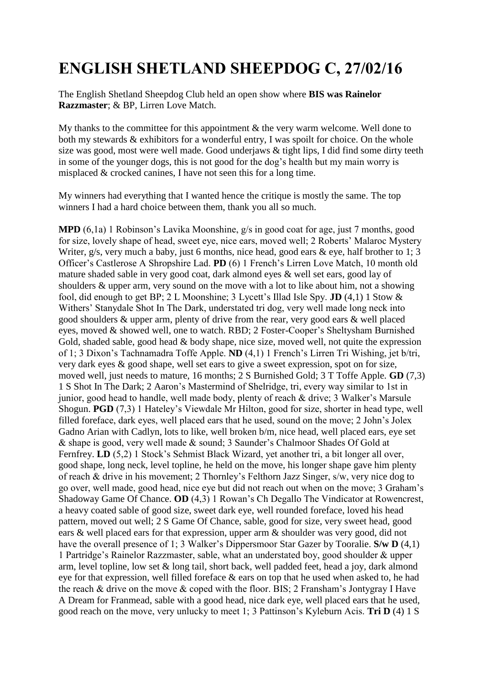## **ENGLISH SHETLAND SHEEPDOG C, 27/02/16**

The English Shetland Sheepdog Club held an open show where **BIS was Rainelor Razzmaster**; & BP, Lirren Love Match.

My thanks to the committee for this appointment & the very warm welcome. Well done to both my stewards & exhibitors for a wonderful entry, I was spoilt for choice. On the whole size was good, most were well made. Good underjaws & tight lips, I did find some dirty teeth in some of the younger dogs, this is not good for the dog's health but my main worry is misplaced & crocked canines, I have not seen this for a long time.

My winners had everything that I wanted hence the critique is mostly the same. The top winners I had a hard choice between them, thank you all so much.

**MPD** (6,1a) 1 Robinson's Lavika Moonshine, g/s in good coat for age, just 7 months, good for size, lovely shape of head, sweet eye, nice ears, moved well; 2 Roberts' Malaroc Mystery Writer, g/s, very much a baby, just 6 months, nice head, good ears & eye, half brother to 1; 3 Officer's Castlerose A Shropshire Lad. **PD** (6) 1 French's Lirren Love Match, 10 month old mature shaded sable in very good coat, dark almond eyes & well set ears, good lay of shoulders & upper arm, very sound on the move with a lot to like about him, not a showing fool, did enough to get BP; 2 L Moonshine; 3 Lycett's Illad Isle Spy. **JD** (4,1) 1 Stow & Withers' Stanydale Shot In The Dark, understated tri dog, very well made long neck into good shoulders & upper arm, plenty of drive from the rear, very good ears & well placed eyes, moved & showed well, one to watch. RBD; 2 Foster-Cooper's Sheltysham Burnished Gold, shaded sable, good head & body shape, nice size, moved well, not quite the expression of 1; 3 Dixon's Tachnamadra Toffe Apple. **ND** (4,1) 1 French's Lirren Tri Wishing, jet b/tri, very dark eyes & good shape, well set ears to give a sweet expression, spot on for size, moved well, just needs to mature, 16 months; 2 S Burnished Gold; 3 T Toffe Apple. **GD** (7,3) 1 S Shot In The Dark; 2 Aaron's Mastermind of Shelridge, tri, every way similar to 1st in junior, good head to handle, well made body, plenty of reach & drive; 3 Walker's Marsule Shogun. **PGD** (7,3) 1 Hateley's Viewdale Mr Hilton, good for size, shorter in head type, well filled foreface, dark eyes, well placed ears that he used, sound on the move; 2 John's Jolex Gadno Arian with Cadlyn, lots to like, well broken b/m, nice head, well placed ears, eye set & shape is good, very well made & sound; 3 Saunder's Chalmoor Shades Of Gold at Fernfrey. **LD** (5,2) 1 Stock's Sehmist Black Wizard, yet another tri, a bit longer all over, good shape, long neck, level topline, he held on the move, his longer shape gave him plenty of reach & drive in his movement; 2 Thornley's Felthorn Jazz Singer, s/w, very nice dog to go over, well made, good head, nice eye but did not reach out when on the move; 3 Graham's Shadoway Game Of Chance. **OD** (4,3) 1 Rowan's Ch Degallo The Vindicator at Rowencrest, a heavy coated sable of good size, sweet dark eye, well rounded foreface, loved his head pattern, moved out well; 2 S Game Of Chance, sable, good for size, very sweet head, good ears & well placed ears for that expression, upper arm & shoulder was very good, did not have the overall presence of 1; 3 Walker's Dippersmoor Star Gazer by Tooralie. **S/w D** (4,1) 1 Partridge's Rainelor Razzmaster, sable, what an understated boy, good shoulder & upper arm, level topline, low set & long tail, short back, well padded feet, head a joy, dark almond eye for that expression, well filled foreface & ears on top that he used when asked to, he had the reach & drive on the move & coped with the floor. BIS; 2 Fransham's Jontygray I Have A Dream for Franmead, sable with a good head, nice dark eye, well placed ears that he used, good reach on the move, very unlucky to meet 1; 3 Pattinson's Kyleburn Acis. **Tri D** (4) 1 S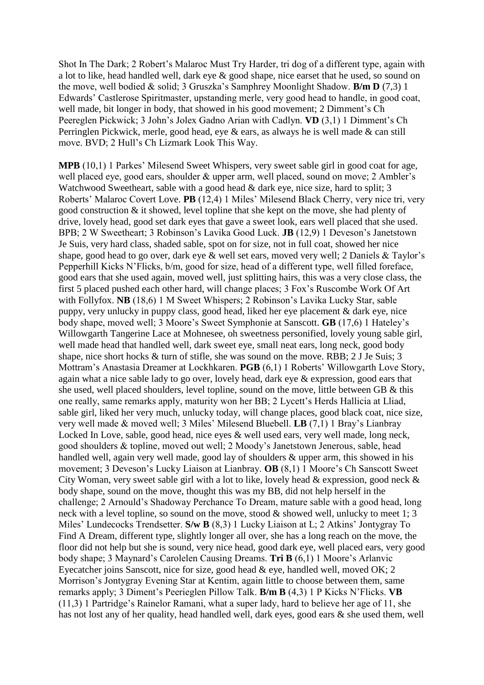Shot In The Dark; 2 Robert's Malaroc Must Try Harder, tri dog of a different type, again with a lot to like, head handled well, dark eye & good shape, nice earset that he used, so sound on the move, well bodied & solid; 3 Gruszka's Samphrey Moonlight Shadow. **B/m D** (7,3) 1 Edwards' Castlerose Spiritmaster, upstanding merle, very good head to handle, in good coat, well made, bit longer in body, that showed in his good movement; 2 Dimment's Ch Peereglen Pickwick; 3 John's Jolex Gadno Arian with Cadlyn. **VD** (3,1) 1 Dimment's Ch Perringlen Pickwick, merle, good head, eye & ears, as always he is well made & can still move. BVD; 2 Hull's Ch Lizmark Look This Way.

**MPB** (10,1) 1 Parkes' Milesend Sweet Whispers, very sweet sable girl in good coat for age, well placed eye, good ears, shoulder & upper arm, well placed, sound on move; 2 Ambler's Watchwood Sweetheart, sable with a good head & dark eye, nice size, hard to split; 3 Roberts' Malaroc Covert Love. **PB** (12,4) 1 Miles' Milesend Black Cherry, very nice tri, very good construction & it showed, level topline that she kept on the move, she had plenty of drive, lovely head, good set dark eyes that gave a sweet look, ears well placed that she used. BPB; 2 W Sweetheart; 3 Robinson's Lavika Good Luck. **JB** (12,9) 1 Deveson's Janetstown Je Suis, very hard class, shaded sable, spot on for size, not in full coat, showed her nice shape, good head to go over, dark eye  $\&$  well set ears, moved very well; 2 Daniels  $\&$  Taylor's Pepperhill Kicks N'Flicks, b/m, good for size, head of a different type, well filled foreface, good ears that she used again, moved well, just splitting hairs, this was a very close class, the first 5 placed pushed each other hard, will change places; 3 Fox's Ruscombe Work Of Art with Follyfox. **NB** (18,6) 1 M Sweet Whispers; 2 Robinson's Lavika Lucky Star, sable puppy, very unlucky in puppy class, good head, liked her eye placement & dark eye, nice body shape, moved well; 3 Moore's Sweet Symphonie at Sanscott. **GB** (17,6) 1 Hateley's Willowgarth Tangerine Lace at Mohnesee, oh sweetness personified, lovely young sable girl, well made head that handled well, dark sweet eye, small neat ears, long neck, good body shape, nice short hocks & turn of stifle, she was sound on the move. RBB; 2 J Je Suis; 3 Mottram's Anastasia Dreamer at Lockhkaren. **PGB** (6,1) 1 Roberts' Willowgarth Love Story, again what a nice sable lady to go over, lovely head, dark eye & expression, good ears that she used, well placed shoulders, level topline, sound on the move, little between GB & this one really, same remarks apply, maturity won her BB; 2 Lycett's Herds Hallicia at Lliad, sable girl, liked her very much, unlucky today, will change places, good black coat, nice size, very well made & moved well; 3 Miles' Milesend Bluebell. **LB** (7,1) 1 Bray's Lianbray Locked In Love, sable, good head, nice eyes & well used ears, very well made, long neck, good shoulders & topline, moved out well; 2 Moody's Janetstown Jenerous, sable, head handled well, again very well made, good lay of shoulders & upper arm, this showed in his movement; 3 Deveson's Lucky Liaison at Lianbray. **OB** (8,1) 1 Moore's Ch Sanscott Sweet City Woman, very sweet sable girl with a lot to like, lovely head & expression, good neck & body shape, sound on the move, thought this was my BB, did not help herself in the challenge; 2 Arnould's Shadoway Perchance To Dream, mature sable with a good head, long neck with a level topline, so sound on the move, stood  $\&$  showed well, unlucky to meet 1; 3 Miles' Lundecocks Trendsetter. **S/w B** (8,3) 1 Lucky Liaison at L; 2 Atkins' Jontygray To Find A Dream, different type, slightly longer all over, she has a long reach on the move, the floor did not help but she is sound, very nice head, good dark eye, well placed ears, very good body shape; 3 Maynard's Carolelen Causing Dreams. **Tri B** (6,1) 1 Moore's Arlanvic Eyecatcher joins Sanscott, nice for size, good head & eye, handled well, moved OK; 2 Morrison's Jontygray Evening Star at Kentim, again little to choose between them, same remarks apply; 3 Diment's Peerieglen Pillow Talk. **B/m B** (4,3) 1 P Kicks N'Flicks. **VB**  (11,3) 1 Partridge's Rainelor Ramani, what a super lady, hard to believe her age of 11, she has not lost any of her quality, head handled well, dark eyes, good ears & she used them, well